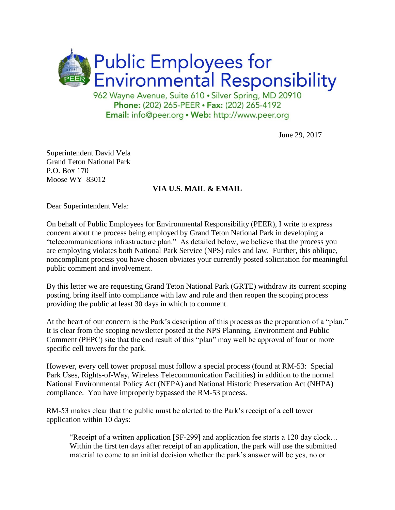

962 Wayne Avenue, Suite 610 · Silver Spring, MD 20910 Phone: (202) 265-PEER · Fax: (202) 265-4192 Email: info@peer.org . Web: http://www.peer.org

June 29, 2017

Superintendent David Vela Grand Teton National Park P.O. Box 170 Moose WY 83012

## **VIA U.S. MAIL & EMAIL**

Dear Superintendent Vela:

On behalf of Public Employees for Environmental Responsibility (PEER), I write to express concern about the process being employed by Grand Teton National Park in developing a "telecommunications infrastructure plan." As detailed below, we believe that the process you are employing violates both National Park Service (NPS) rules and law. Further, this oblique, noncompliant process you have chosen obviates your currently posted solicitation for meaningful public comment and involvement.

By this letter we are requesting Grand Teton National Park (GRTE) withdraw its current scoping posting, bring itself into compliance with law and rule and then reopen the scoping process providing the public at least 30 days in which to comment.

At the heart of our concern is the Park's description of this process as the preparation of a "plan." It is clear from the scoping newsletter posted at the NPS Planning, Environment and Public Comment (PEPC) site that the end result of this "plan" may well be approval of four or more specific cell towers for the park.

However, every cell tower proposal must follow a special process (found at RM-53: Special Park Uses, Rights-of-Way, Wireless Telecommunication Facilities) in addition to the normal National Environmental Policy Act (NEPA) and National Historic Preservation Act (NHPA) compliance. You have improperly bypassed the RM-53 process.

RM-53 makes clear that the public must be alerted to the Park's receipt of a cell tower application within 10 days:

"Receipt of a written application [SF-299] and application fee starts a 120 day clock… Within the first ten days after receipt of an application, the park will use the submitted material to come to an initial decision whether the park's answer will be yes, no or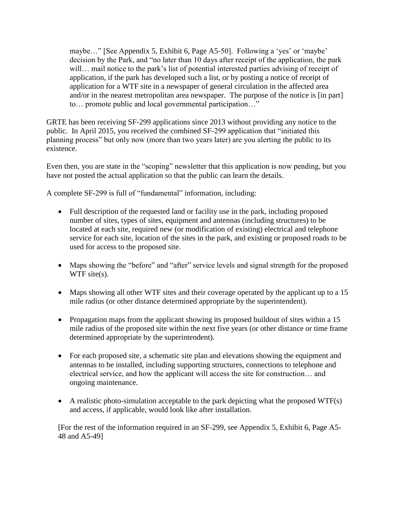maybe…" [See Appendix 5, Exhibit 6, Page A5-50]. Following a 'yes' or 'maybe' decision by the Park, and "no later than 10 days after receipt of the application, the park will... mail notice to the park's list of potential interested parties advising of receipt of application, if the park has developed such a list, or by posting a notice of receipt of application for a WTF site in a newspaper of general circulation in the affected area and/or in the nearest metropolitan area newspaper. The purpose of the notice is [in part] to… promote public and local governmental participation…"

GRTE has been receiving SF-299 applications since 2013 without providing any notice to the public. In April 2015, you received the combined SF-299 application that "initiated this planning process" but only now (more than two years later) are you alerting the public to its existence.

Even then, you are state in the "scoping" newsletter that this application is now pending, but you have not posted the actual application so that the public can learn the details.

A complete SF-299 is full of "fundamental" information, including:

- Full description of the requested land or facility use in the park, including proposed number of sites, types of sites, equipment and antennas (including structures) to be located at each site, required new (or modification of existing) electrical and telephone service for each site, location of the sites in the park, and existing or proposed roads to be used for access to the proposed site.
- Maps showing the "before" and "after" service levels and signal strength for the proposed WTF site(s).
- Maps showing all other WTF sites and their coverage operated by the applicant up to a 15 mile radius (or other distance determined appropriate by the superintendent).
- Propagation maps from the applicant showing its proposed buildout of sites within a 15 mile radius of the proposed site within the next five years (or other distance or time frame determined appropriate by the superintendent).
- For each proposed site, a schematic site plan and elevations showing the equipment and antennas to be installed, including supporting structures, connections to telephone and electrical service, and how the applicant will access the site for construction… and ongoing maintenance.
- $\bullet$  A realistic photo-simulation acceptable to the park depicting what the proposed WTF(s) and access, if applicable, would look like after installation.

[For the rest of the information required in an SF-299, see Appendix 5, Exhibit 6, Page A5- 48 and A5-49]